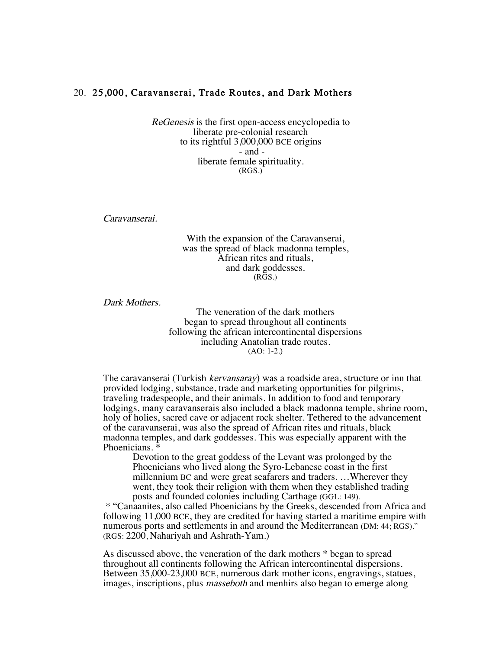## 20. 25,000, Caravanserai, Trade Routes, and Dark Mothers

ReGenesis is the first open-access encyclopedia to liberate pre-colonial research to its rightful 3,000,000 BCE origins - and liberate female spirituality. (RGS.)

Caravanserai.

With the expansion of the Caravanserai, was the spread of black madonna temples, African rites and rituals, and dark goddesses.  $(R\bar{G}S)$ 

Dark Mothers.

The veneration of the dark mothers began to spread throughout all continents following the african intercontinental dispersions including Anatolian trade routes. (AO: 1-2.)

The caravanserai (Turkish kervansaray) was a roadside area, structure or inn that provided lodging, substance, trade and marketing opportunities for pilgrims, traveling tradespeople, and their animals. In addition to food and temporary lodgings, many caravanserais also included a black madonna temple, shrine room, holy of holies, sacred cave or adjacent rock shelter. Tethered to the advancement of the caravanserai, was also the spread of African rites and rituals, black madonna temples, and dark goddesses. This was especially apparent with the Phoenicians.  $*$ 

Devotion to the great goddess of the Levant was prolonged by the Phoenicians who lived along the Syro-Lebanese coast in the first millennium BC and were great seafarers and traders. …Wherever they went, they took their religion with them when they established trading posts and founded colonies including Carthage (GGL: 149).

\* "Canaanites, also called Phoenicians by the Greeks, descended from Africa and following 11,000 BCE, they are credited for having started a maritime empire with numerous ports and settlements in and around the Mediterranean (DM: 44; RGS)." (RGS: 2200, Nahariyah and Ashrath-Yam.)

As discussed above, the veneration of the dark mothers \* began to spread throughout all continents following the African intercontinental dispersions. Between 35,000-23,000 BCE, numerous dark mother icons, engravings, statues, images, inscriptions, plus *masseboth* and menhirs also began to emerge along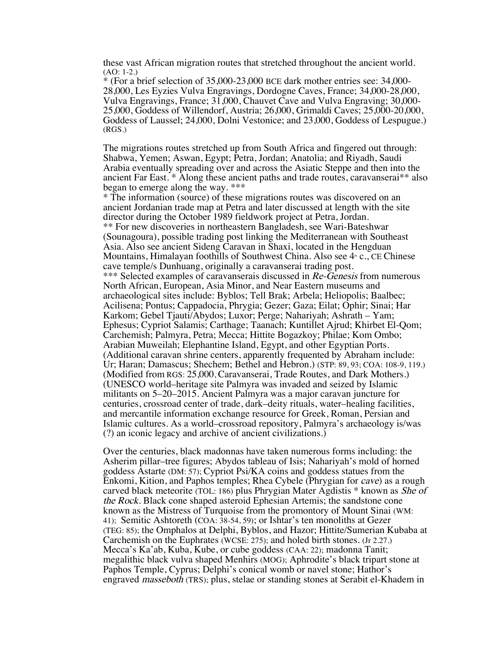these vast African migration routes that stretched throughout the ancient world. (AO: 1-2.)

\* (For a brief selection of 35,000-23,000 BCE dark mother entries see: 34,000- 28,000, Les Eyzies Vulva Engravings, Dordogne Caves, France; 34,000-28,000, Vulva Engravings, France; 31,000, Chauvet Cave and Vulva Engraving; 30,000- 25,000, Goddess of Willendorf, Austria; 26,000, Grimaldi Caves; 25,000-20,000, Goddess of Laussel; 24,000, Dolni Vestonice; and 23,000, Goddess of Lespugue.) (RGS.)

The migrations routes stretched up from South Africa and fingered out through: Shabwa, Yemen; Aswan, Egypt; Petra, Jordan; Anatolia; and Riyadh, Saudi Arabia eventually spreading over and across the Asiatic Steppe and then into the ancient Far East. \* Along these ancient paths and trade routes, caravanserai\*\* also began to emerge along the way. \*\*\*

\* The information (source) of these migrations routes was discovered on an ancient Jordanian trade map at Petra and later discussed at length with the site director during the October 1989 fieldwork project at Petra, Jordan. \*\* For new discoveries in northeastern Bangladesh, see Wari-Bateshwar (Sounagoura), possible trading post linking the Mediterranean with Southeast Asia. Also see ancient Sideng Caravan in Shaxi, located in the Hengduan Mountains, Himalayan foothills of Southwest China. Also see  $4 \cdot c$ , CE Chinese cave temple/s Dunhuang, originally a caravanserai trading post. \*\*\* Selected examples of caravanserais discussed in Re-Genesis from numerous North African, European, Asia Minor, and Near Eastern museums and archaeological sites include: Byblos; Tell Brak; Arbela; Heliopolis; Baalbec; Acilisena; Pontus; Cappadocia, Phrygia; Gezer; Gaza; Eilat; Ophir; Sinai; Har Karkom; Gebel Tjauti/Abydos; Luxor; Perge; Nahariyah; Ashrath – Yam; Ephesus; Cypriot Salamis; Carthage; Taanach; Kuntillet Ajrud; Khirbet El-Qom; Carchemish; Palmyra, Petra; Mecca; Hittite Bogazkoy; Philae; Kom Ombo; Arabian Muweilah; Elephantine Island, Egypt, and other Egyptian Ports. (Additional caravan shrine centers, apparently frequented by Abraham include: Ur; Haran; Damascus; Shechem; Bethel and Hebron.) (STP: 89, 93; COA: 108-9, 119.) (Modified from RGS: 25,000, Caravanserai, Trade Routes, and Dark Mothers.) (UNESCO world–heritage site Palmyra was invaded and seized by Islamic militants on 5–20–2015. Ancient Palmyra was a major caravan juncture for centuries, crossroad center of trade, dark–deity rituals, water–healing facilities, and mercantile information exchange resource for Greek, Roman, Persian and Islamic cultures. As a world–crossroad repository, Palmyra's archaeology is/was (?) an iconic legacy and archive of ancient civilizations.)

Over the centuries, black madonnas have taken numerous forms including: the Asherim pillar–tree figures; Abydos tableau of Isis; Nahariyah's mold of horned goddess Astarte (DM: 57); Cypriot Psi/KA coins and goddess statues from the Enkomi, Kition, and Paphos temples; Rhea Cybele (Phrygian for cave) as a rough carved black meteorite (TOL: 186) plus Phrygian Mater Agdistis \* known as She of the Rock. Black cone shaped asteroid Ephesian Artemis; the sandstone cone known as the Mistress of Turquoise from the promontory of Mount Sinai (WM: 41); Semitic Ashtoreth (COA: 38-54, 59); or Ishtar's ten monoliths at Gezer (TEG: 85); the Omphalos at Delphi, Byblos, and Hazor; Hittite/Sumerian Kubaba at Carchemish on the Euphrates (WCSE: 275); and holed birth stones. (Jr 2.27.) Mecca's Ka'ab, Kuba, Kube, or cube goddess (CAA: 22); madonna Tanit; megalithic black vulva shaped Menhirs (MOG); Aphrodite's black tripart stone at Paphos Temple, Cyprus; Delphi's conical womb or navel stone; Hathor's engraved masseboth (TRS); plus, stelae or standing stones at Serabit el-Khadem in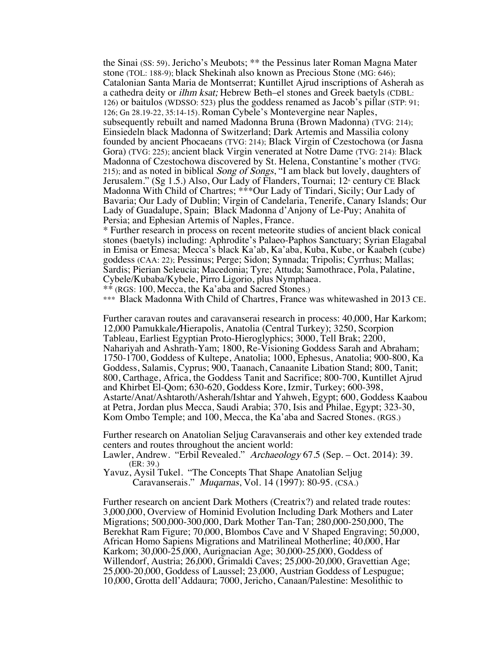the Sinai (SS: 59). Jericho's Meubots; \*\* the Pessinus later Roman Magna Mater stone (TOL: 188-9); black Shekinah also known as Precious Stone (MG: 646); Catalonian Santa Maria de Montserrat; Kuntillet Ajrud inscriptions of Asherah as a cathedra deity or ilhm ksat; Hebrew Beth–el stones and Greek baetyls (CDBL: 126) or baitulos (WDSSO: 523) plus the goddess renamed as Jacob's pillar (STP: 91; 126; Gn 28.19-22, 35:14-15). Roman Cybele's Montevergine near Naples, subsequently rebuilt and named Madonna Bruna (Brown Madonna) (TVG: 214); Einsiedeln black Madonna of Switzerland; Dark Artemis and Massilia colony founded by ancient Phocaeans (TVG: 214); Black Virgin of Czestochowa (or Jasna Gora) (TVG: 225); ancient black Virgin venerated at Notre Dame (TVG: 214): Black Madonna of Czestochowa discovered by St. Helena, Constantine's mother (TVG: 215); and as noted in biblical Song of Songs, "I am black but lovely, daughters of Jerusalem." (Sg 1.5.) Also, Our Lady of Flanders, Tournai;  $12$ <sup>th</sup> century CE Black Madonna With Child of Chartres; \*\*\*Our Lady of Tindari, Sicily; Our Lady of Bavaria; Our Lady of Dublin; Virgin of Candelaria, Tenerife, Canary Islands; Our Lady of Guadalupe, Spain; Black Madonna d'Anjony of Le-Puy; Anahita of Persia; and Ephesian Artemis of Naples, France.

\* Further research in process on recent meteorite studies of ancient black conical stones (baetyls) including: Aphrodite's Palaeo-Paphos Sanctuary; Syrian Elagabal in Emisa or Emesa; Mecca's black Ka'ab, Ka'aba, Kuba, Kube, or Kaabeh (cube) goddess (CAA: 22); Pessinus; Perge; Sidon; Synnada; Tripolis; Cyrrhus; Mallas; Sardis; Pierian Seleucia; Macedonia; Tyre; Attuda; Samothrace, Pola, Palatine, Cybele/Kubaba/Kybele, Pirro Ligorio, plus Nymphaea.

\*\* (RGS: 100, Mecca, the Ka'aba and Sacred Stones.)

\*\*\* Black Madonna With Child of Chartres, France was whitewashed in 2013 CE.

Further caravan routes and caravanserai research in process: 40,000, Har Karkom; 12,000 Pamukkale/Hierapolis, Anatolia (Central Turkey); 3250, Scorpion Tableau, Earliest Egyptian Proto-Hieroglyphics; 3000, Tell Brak; 2200, Nahariyah and Ashrath-Yam; 1800, Re-Visioning Goddess Sarah and Abraham; 1750-1700, Goddess of Kultepe, Anatolia; 1000, Ephesus, Anatolia; 900-800, Ka Goddess, Salamis, Cyprus; 900, Taanach, Canaanite Libation Stand; 800, Tanit; 800, Carthage, Africa, the Goddess Tanit and Sacrifice; 800-700, Kuntillet Ajrud and Khirbet El-Qom; 630-620, Goddess Kore, Izmir, Turkey; 600-398, Astarte/Anat/Ashtaroth/Asherah/Ishtar and Yahweh, Egypt; 600, Goddess Kaabou at Petra, Jordan plus Mecca, Saudi Arabia; 370, Isis and Philae, Egypt; 323-30, Kom Ombo Temple; and 100, Mecca, the Ka'aba and Sacred Stones. (RGS.)

Further research on Anatolian Seljug Caravanserais and other key extended trade centers and routes throughout the ancient world:

Lawler, Andrew. "Erbil Revealed." Archaeology 67.5 (Sep. – Oct. 2014): 39. (ER: 39.)

Yavuz, Aysil Tukel. "The Concepts That Shape Anatolian Seljug Caravanserais." Muqarnas, Vol. 14 (1997): 80-95. (CSA.)

Further research on ancient Dark Mothers (Creatrix?) and related trade routes: 3,000,000, Overview of Hominid Evolution Including Dark Mothers and Later Migrations; 500,000-300,000, Dark Mother Tan-Tan; 280,000-250,000, The Berekhat Ram Figure; 70,000, Blombos Cave and V Shaped Engraving; 50,000, African Homo Sapiens Migrations and Matrilineal Motherline; 40,000, Har Karkom; 30,000-25,000, Aurignacian Age; 30,000-25,000, Goddess of Willendorf, Austria; 26,000, Grimaldi Caves; 25,000-20,000, Gravettian Age; 25,000-20,000, Goddess of Laussel; 23,000, Austrian Goddess of Lespugue; 10,000, Grotta dell'Addaura; 7000, Jericho, Canaan/Palestine: Mesolithic to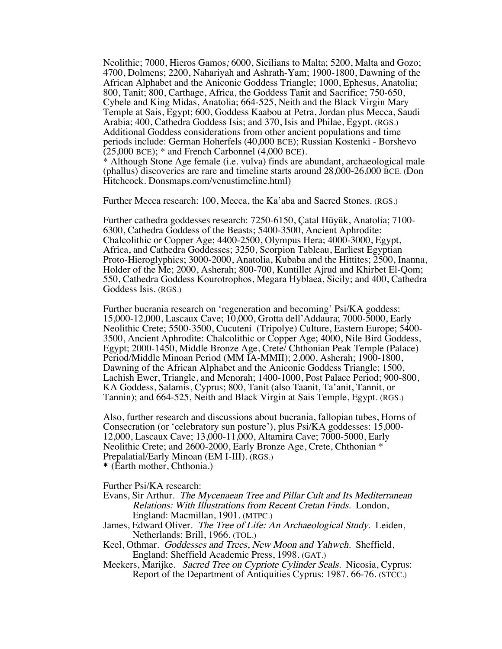Neolithic; 7000, Hieros Gamos; 6000, Sicilians to Malta; 5200, Malta and Gozo; 4700, Dolmens; 2200, Nahariyah and Ashrath-Yam; 1900-1800, Dawning of the African Alphabet and the Aniconic Goddess Triangle; 1000, Ephesus, Anatolia; 800, Tanit; 800, Carthage, Africa, the Goddess Tanit and Sacrifice; 750-650, Cybele and King Midas, Anatolia; 664-525, Neith and the Black Virgin Mary Temple at Sais, Egypt; 600, Goddess Kaabou at Petra, Jordan plus Mecca, Saudi Arabia; 400, Cathedra Goddess Isis; and 370, Isis and Philae, Egypt. (RGS.) Additional Goddess considerations from other ancient populations and time periods include: German Hoherfels (40,000 BCE); Russian Kostenki - Borshevo  $(25,000 \text{ BCE})$ ; \* and French Carbonnel  $(4,000 \text{ BCE})$ .

\* Although Stone Age female (i.e. vulva) finds are abundant, archaeological male (phallus) discoveries are rare and timeline starts around 28,000-26,000 BCE. (Don Hitchcock. Donsmaps.com/venustimeline.html)

Further Mecca research: 100, Mecca, the Ka'aba and Sacred Stones. (RGS.)

Further cathedra goddesses research: 7250-6150, Çatal Hüyük, Anatolia; 7100- 6300, Cathedra Goddess of the Beasts; 5400-3500, Ancient Aphrodite: Chalcolithic or Copper Age; 4400-2500, Olympus Hera; 4000-3000, Egypt, Africa, and Cathedra Goddesses; 3250, Scorpion Tableau, Earliest Egyptian Proto-Hieroglyphics; 3000-2000, Anatolia, Kubaba and the Hittites; 2500, Inanna, Holder of the Me; 2000, Asherah; 800-700, Kuntillet Ajrud and Khirbet El-Qom; 550, Cathedra Goddess Kourotrophos, Megara Hyblaea, Sicily; and 400, Cathedra Goddess Isis. (RGS.)

Further bucrania research on 'regeneration and becoming' Psi/KA goddess: 15,000-12,000, Lascaux Cave; 10,000, Grotta dell'Addaura; 7000-5000, Early Neolithic Crete; 5500-3500, Cucuteni (Tripolye) Culture, Eastern Europe; 5400- 3500, Ancient Aphrodite: Chalcolithic or Copper Age; 4000, Nile Bird Goddess, Egypt; 2000-1450, Middle Bronze Age, Crete/ Chthonian Peak Temple (Palace) Period/Middle Minoan Period (MM IA-MMII); 2,000, Asherah; 1900-1800, Dawning of the African Alphabet and the Aniconic Goddess Triangle; 1500, Lachish Ewer, Triangle, and Menorah; 1400-1000, Post Palace Period; 900-800, KA Goddess, Salamis, Cyprus; 800, Tanit (also Taanit, Ta'anit, Tannit, or Tannin); and 664-525, Neith and Black Virgin at Sais Temple, Egypt. (RGS.)

Also, further research and discussions about bucrania, fallopian tubes, Horns of Consecration (or 'celebratory sun posture'), plus Psi/KA goddesses: 15,000- 12,000, Lascaux Cave; 13,000-11,000, Altamira Cave; 7000-5000, Early Neolithic Crete; and 2600-2000, Early Bronze Age, Crete, Chthonian \* Prepalatial/Early Minoan (EM I-III). (RGS.) \* (Earth mother, Chthonia.)

Further Psi/KA research:

- Evans, Sir Arthur. The Mycenaean Tree and Pillar Cult and Its Mediterranean Relations: With Illustrations from Recent Cretan Finds. London, England: Macmillan, 1901. (MTPC.)
- James, Edward Oliver. The Tree of Life: An Archaeological Study. Leiden, Netherlands: Brill, 1966. (TOL.)
- Keel, Othmar. Goddesses and Trees, New Moon and Yahweh. Sheffield, England: Sheffield Academic Press, 1998. (GAT.)
- Meekers, Marijke. Sacred Tree on Cypriote Cylinder Seals. Nicosia, Cyprus: Report of the Department of Antiquities Cyprus: 1987. 66-76. (STCC.)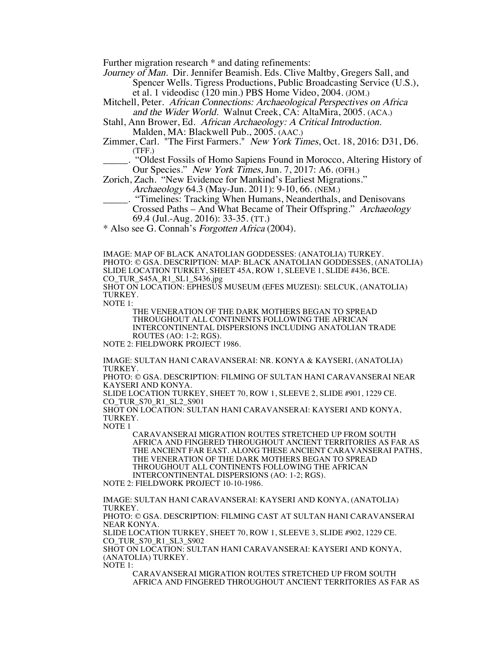Further migration research \* and dating refinements:

Journey of Man. Dir. Jennifer Beamish. Eds. Clive Maltby, Gregers Sall, and Spencer Wells. Tigress Productions, Public Broadcasting Service (U.S.), et al. 1 videodisc (120 min.) PBS Home Video, 2004. (JOM.)

Mitchell, Peter. African Connections: Archaeological Perspectives on Africa and the Wider World. Walnut Creek, CA: AltaMira, 2005. (ACA.)

Stahl, Ann Brower, Ed. African Archaeology: A Critical Introduction. Malden, MA: Blackwell Pub., 2005. (AAC.)

Zimmer, Carl. "The First Farmers." New York Times, Oct. 18, 2016: D31, D6. (TFF.)

\_\_\_\_\_. "Oldest Fossils of Homo Sapiens Found in Morocco, Altering History of Our Species." New York Times, Jun. 7, 2017: A6. (OFH.)

Zorich, Zach. "New Evidence for Mankind's Earliest Migrations."

Archaeology 64.3 (May-Jun. 2011): 9-10, 66. (NEM.)

. "Timelines: Tracking When Humans, Neanderthals, and Denisovans Crossed Paths – And What Became of Their Offspring." Archaeology 69.4 (Jul.-Aug. 2016): 33-35. (TT.)

\* Also see G. Connah's Forgotten Africa (2004).

IMAGE: MAP OF BLACK ANATOLIAN GODDESSES: (ANATOLIA) TURKEY. PHOTO: © GSA. DESCRIPTION: MAP: BLACK ANATOLIAN GODDESSES, (ANATOLIA) SLIDE LOCATION TURKEY, SHEET 45A, ROW 1, SLEEVE 1, SLIDE #436, BCE. CO\_TUR\_S45A\_R1\_SL1\_S436.jpg SHOT ON LOCATION: EPHESUS MUSEUM (EFES MUZESI): SELCUK, (ANATOLIA) TURKEY.

NOTE 1:

THE VENERATION OF THE DARK MOTHERS BEGAN TO SPREAD THROUGHOUT ALL CONTINENTS FOLLOWING THE AFRICAN INTERCONTINENTAL DISPERSIONS INCLUDING ANATOLIAN TRADE ROUTES (AO: 1-2; RGS).

NOTE 2: FIELDWORK PROJECT 1986.

IMAGE: SULTAN HANI CARAVANSERAI: NR. KONYA & KAYSERI, (ANATOLIA) TURKEY.

PHOTO: © GSA. DESCRIPTION: FILMING OF SULTAN HANI CARAVANSERAI NEAR KAYSERI AND KONYA.

SLIDE LOCATION TURKEY, SHEET 70, ROW 1, SLEEVE 2, SLIDE #901, 1229 CE. CO\_TUR\_S70\_R1\_SL2\_S901

SHOT ON LOCATION: SULTAN HANI CARAVANSERAI: KAYSERI AND KONYA, TURKEY.

NOTE 1

CARAVANSERAI MIGRATION ROUTES STRETCHED UP FROM SOUTH AFRICA AND FINGERED THROUGHOUT ANCIENT TERRITORIES AS FAR AS THE ANCIENT FAR EAST. ALONG THESE ANCIENT CARAVANSERAI PATHS, THE VENERATION OF THE DARK MOTHERS BEGAN TO SPREAD THROUGHOUT ALL CONTINENTS FOLLOWING THE AFRICAN INTERCONTINENTAL DISPERSIONS (AO: 1-2; RGS).

NOTE 2: FIELDWORK PROJECT 10-10-1986.

IMAGE: SULTAN HANI CARAVANSERAI: KAYSERI AND KONYA, (ANATOLIA) TURKEY. PHOTO: © GSA. DESCRIPTION: FILMING CAST AT SULTAN HANI CARAVANSERAI NEAR KONYA.

SLIDE LOCATION TURKEY, SHEET 70, ROW 1, SLEEVE 3, SLIDE #902, 1229 CE. CO\_TUR\_S70\_R1\_SL3\_S902

SHOT ON LOCATION: SULTAN HANI CARAVANSERAI: KAYSERI AND KONYA, (ANATOLIA) TURKEY.

NOTE 1:

CARAVANSERAI MIGRATION ROUTES STRETCHED UP FROM SOUTH AFRICA AND FINGERED THROUGHOUT ANCIENT TERRITORIES AS FAR AS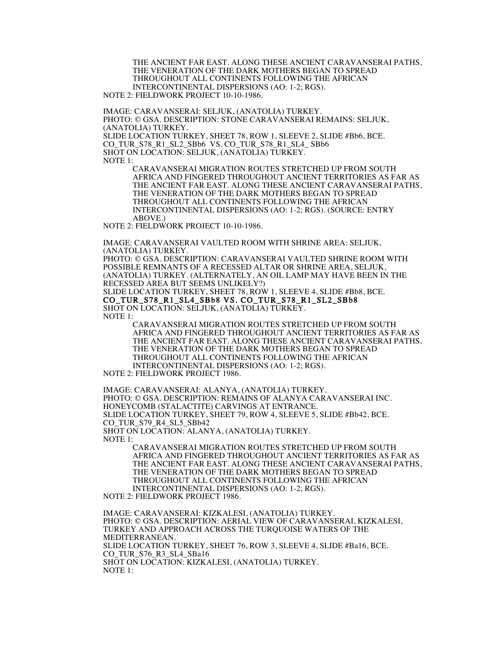THE ANCIENT FAR EAST. ALONG THESE ANCIENT CARAVANSERAI PATHS, THE VENERATION OF THE DARK MOTHERS BEGAN TO SPREAD THROUGHOUT ALL CONTINENTS FOLLOWING THE AFRICAN INTERCONTINENTAL DISPERSIONS (AO: 1-2; RGS). NOTE 2: FIELDWORK PROJECT 10-10-1986.

IMAGE: CARAVANSERAI: SELJUK, (ANATOLIA) TURKEY. PHOTO: © GSA. DESCRIPTION: STONE CARAVANSERAI REMAINS: SELJUK, (ANATOLIA) TURKEY. SLIDE LOCATION TURKEY, SHEET 78, ROW 1, SLEEVE 2, SLIDE #Bb6, BCE. CO\_TUR\_S78\_R1\_SL2\_SBb6 VS. CO\_TUR\_S78\_R1\_SL4\_ SBb6 SHOT ON LOCATION: SELJUK, (ANATOLIA) TURKEY. NOTE 1:

CARAVANSERAI MIGRATION ROUTES STRETCHED UP FROM SOUTH AFRICA AND FINGERED THROUGHOUT ANCIENT TERRITORIES AS FAR AS THE ANCIENT FAR EAST. ALONG THESE ANCIENT CARAVANSERAI PATHS, THE VENERATION OF THE DARK MOTHERS BEGAN TO SPREAD THROUGHOUT ALL CONTINENTS FOLLOWING THE AFRICAN INTERCONTINENTAL DISPERSIONS (AO: 1-2; RGS). (SOURCE: ENTRY ABOVE.)

NOTE 2: FIELDWORK PROJECT 10-10-1986.

IMAGE: CARAVANSERAI VAULTED ROOM WITH SHRINE AREA: SELJUK, (ANATOLIA) TURKEY.

PHOTO: © GSA. DESCRIPTION: CARAVANSERAI VAULTED SHRINE ROOM WITH POSSIBLE REMNANTS OF A RECESSED ALTAR OR SHRINE AREA, SELJUK, (ANATOLIA) TURKEY. (ALTERNATELY, AN OIL LAMP MAY HAVE BEEN IN THE RECESSED AREA BUT SEEMS UNLIKELY?)

SLIDE LOCATION TURKEY, SHEET 78, ROW 1, SLEEVE 4, SLIDE #Bb8, BCE. CO\_TUR\_S78\_R1\_SL4\_SBb8 VS. CO\_TUR\_S78\_R1\_SL2\_SBb8 SHOT ON LOCATION: SELJUK, (ANATOLIA) TURKEY. NOTE 1:

CARAVANSERAI MIGRATION ROUTES STRETCHED UP FROM SOUTH AFRICA AND FINGERED THROUGHOUT ANCIENT TERRITORIES AS FAR AS THE ANCIENT FAR EAST. ALONG THESE ANCIENT CARAVANSERAI PATHS, THE VENERATION OF THE DARK MOTHERS BEGAN TO SPREAD THROUGHOUT ALL CONTINENTS FOLLOWING THE AFRICAN INTERCONTINENTAL DISPERSIONS (AO: 1-2; RGS).

NOTE 2: FIELDWORK PROJECT 1986.

IMAGE: CARAVANSERAI: ALANYA, (ANATOLIA) TURKEY. PHOTO: © GSA. DESCRIPTION: REMAINS OF ALANYA CARAVANSERAI INC. HONEYCOMB (STALACTITE) CARVINGS AT ENTRANCE. SLIDE LOCATION TURKEY, SHEET 79, ROW 4, SLEEVE 5, SLIDE #Bb42, BCE. CO\_TUR\_S79\_R4\_SL5\_SBb42 SHOT ON LOCATION: ALANYA, (ANATOLIA) TURKEY. NOTE 1:

> CARAVANSERAI MIGRATION ROUTES STRETCHED UP FROM SOUTH AFRICA AND FINGERED THROUGHOUT ANCIENT TERRITORIES AS FAR AS THE ANCIENT FAR EAST. ALONG THESE ANCIENT CARAVANSERAI PATHS, THE VENERATION OF THE DARK MOTHERS BEGAN TO SPREAD THROUGHOUT ALL CONTINENTS FOLLOWING THE AFRICAN INTERCONTINENTAL DISPERSIONS (AO: 1-2; RGS).

NOTE 2: FIELDWORK PROJECT 1986.

IMAGE: CARAVANSERAI: KIZKALESI, (ANATOLIA) TURKEY. PHOTO: © GSA. DESCRIPTION: AERIAL VIEW OF CARAVANSERAI, KIZKALESI, TURKEY AND APPROACH ACROSS THE TURQUOISE WATERS OF THE MEDITERRANEAN. SLIDE LOCATION TURKEY, SHEET 76, ROW 3, SLEEVE 4, SLIDE #Ba16, BCE. CO\_TUR\_S76\_R3\_SL4\_SBa16 SHOT ON LOCATION: KIZKALESI, (ANATOLIA) TURKEY. NOTE 1: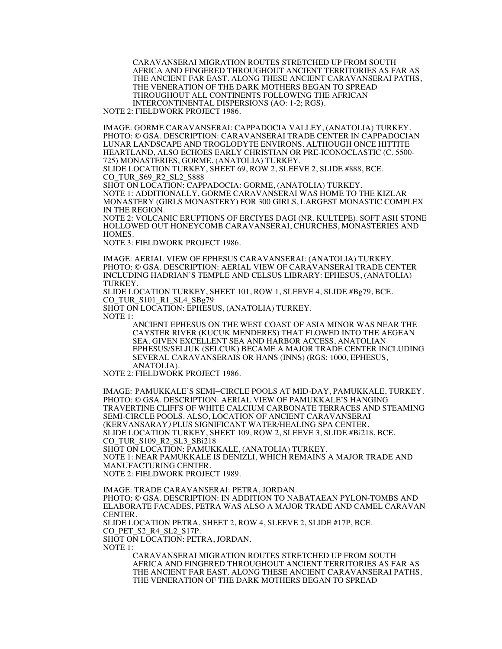CARAVANSERAI MIGRATION ROUTES STRETCHED UP FROM SOUTH AFRICA AND FINGERED THROUGHOUT ANCIENT TERRITORIES AS FAR AS THE ANCIENT FAR EAST. ALONG THESE ANCIENT CARAVANSERAI PATHS, THE VENERATION OF THE DARK MOTHERS BEGAN TO SPREAD THROUGHOUT ALL CONTINENTS FOLLOWING THE AFRICAN INTERCONTINENTAL DISPERSIONS (AO: 1-2; RGS).

NOTE 2: FIELDWORK PROJECT 1986.

IMAGE: GORME CARAVANSERAI: CAPPADOCIA VALLEY, (ANATOLIA) TURKEY. PHOTO: © GSA. DESCRIPTION: CARAVANSERAI TRADE CENTER IN CAPPADOCIAN LUNAR LANDSCAPE AND TROGLODYTE ENVIRONS. ALTHOUGH ONCE HITTITE HEARTLAND, ALSO ECHOES EARLY CHRISTIAN OR PRE-ICONOCLASTIC (C. 5500- 725) MONASTERIES, GORME, (ANATOLIA) TURKEY.

SLIDE LOCATION TURKEY, SHEET 69, ROW 2, SLEEVE 2, SLIDE #888, BCE. CO\_TUR\_S69\_R2\_SL2\_S888

SHOT ON LOCATION: CAPPADOCIA: GORME, (ANATOLIA) TURKEY. NOTE 1: ADDITIONALLY, GORME CARAVANSERAI WAS HOME TO THE KIZLAR MONASTERY (GIRLS MONASTERY) FOR 300 GIRLS, LARGEST MONASTIC COMPLEX IN THE REGION.

NOTE 2: VOLCANIC ERUPTIONS OF ERCIYES DAGI (NR. KULTEPE). SOFT ASH STONE HOLLOWED OUT HONEYCOMB CARAVANSERAI, CHURCHES, MONASTERIES AND HOMES.

NOTE 3: FIELDWORK PROJECT 1986.

IMAGE: AERIAL VIEW OF EPHESUS CARAVANSERAI: (ANATOLIA) TURKEY. PHOTO: © GSA. DESCRIPTION: AERIAL VIEW OF CARAVANSERAI TRADE CENTER INCLUDING HADRIAN'S TEMPLE AND CELSUS LIBRARY: EPHESUS, (ANATOLIA) TURKEY.

SLIDE LOCATION TURKEY, SHEET 101, ROW 1, SLEEVE 4, SLIDE #Bg79, BCE. CO\_TUR\_S101\_R1\_SL4\_SBg79

SHOT ON LOCATION: EPHESUS, (ANATOLIA) TURKEY.

NOTE 1:

ANCIENT EPHESUS ON THE WEST COAST OF ASIA MINOR WAS NEAR THE CAYSTER RIVER (KUCUK MENDERES) THAT FLOWED INTO THE AEGEAN SEA. GIVEN EXCELLENT SEA AND HARBOR ACCESS, ANATOLIAN EPHESUS/SELJUK (SELCUK) BECAME A MAJOR TRADE CENTER INCLUDING SEVERAL CARAVANSERAIS OR HANS (INNS) (RGS: 1000, EPHESUS, ANATOLIA).

NOTE 2: FIELDWORK PROJECT 1986.

IMAGE: PAMUKKALE'S SEMI–CIRCLE POOLS AT MID-DAY, PAMUKKALE, TURKEY. PHOTO: © GSA. DESCRIPTION: AERIAL VIEW OF PAMUKKALE'S HANGING TRAVERTINE CLIFFS OF WHITE CALCIUM CARBONATE TERRACES AND STEAMING SEMI-CIRCLE POOLS. ALSO, LOCATION OF ANCIENT CARAVANSERAI (KERVANSARAY) PLUS SIGNIFICANT WATER/HEALING SPA CENTER. SLIDE LOCATION TURKEY, SHEET 109, ROW 2, SLEEVE 3, SLIDE #Bi218, BCE. CO\_TUR\_S109\_R2\_SL3\_SBi218 SHOT ON LOCATION: PAMUKKALE, (ANATOLIA) TURKEY. NOTE 1: NEAR PAMUKKALE IS DENIZLI, WHICH REMAINS A MAJOR TRADE AND

MANUFACTURING CENTER.

NOTE 2: FIELDWORK PROJECT 1989.

IMAGE: TRADE CARAVANSERAI: PETRA, JORDAN. PHOTO: © GSA. DESCRIPTION: IN ADDITION TO NABATAEAN PYLON-TOMBS AND ELABORATE FACADES, PETRA WAS ALSO A MAJOR TRADE AND CAMEL CARAVAN CENTER. SLIDE LOCATION PETRA, SHEET 2, ROW 4, SLEEVE 2, SLIDE #17P, BCE. CO PET S2 R4 SL2 S17P. SHOT ON LOCATION: PETRA, JORDAN. NOTE 1:

CARAVANSERAI MIGRATION ROUTES STRETCHED UP FROM SOUTH AFRICA AND FINGERED THROUGHOUT ANCIENT TERRITORIES AS FAR AS THE ANCIENT FAR EAST. ALONG THESE ANCIENT CARAVANSERAI PATHS, THE VENERATION OF THE DARK MOTHERS BEGAN TO SPREAD